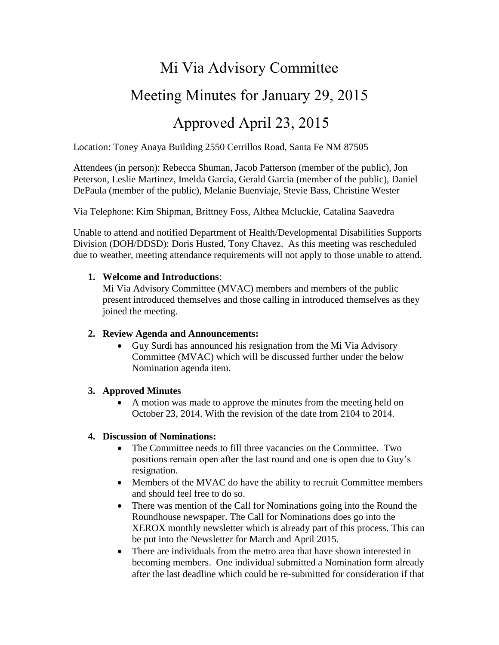# Mi Via Advisory Committee

## Meeting Minutes for January 29, 2015

### Approved April 23, 2015

Location: Toney Anaya Building 2550 Cerrillos Road, Santa Fe NM 87505

Attendees (in person): Rebecca Shuman, Jacob Patterson (member of the public), Jon Peterson, Leslie Martinez, Imelda Garcia, Gerald Garcia (member of the public), Daniel DePaula (member of the public), Melanie Buenviaje, Stevie Bass, Christine Wester

Via Telephone: Kim Shipman, Brittney Foss, Althea Mcluckie, Catalina Saavedra

Unable to attend and notified Department of Health/Developmental Disabilities Supports Division (DOH/DDSD): Doris Husted, Tony Chavez. As this meeting was rescheduled due to weather, meeting attendance requirements will not apply to those unable to attend.

#### **1. Welcome and Introductions**:

Mi Via Advisory Committee (MVAC) members and members of the public present introduced themselves and those calling in introduced themselves as they joined the meeting.

#### **2. Review Agenda and Announcements:**

 Guy Surdi has announced his resignation from the Mi Via Advisory Committee (MVAC) which will be discussed further under the below Nomination agenda item.

#### **3. Approved Minutes**

 A motion was made to approve the minutes from the meeting held on October 23, 2014. With the revision of the date from 2104 to 2014.

#### **4. Discussion of Nominations:**

- The Committee needs to fill three vacancies on the Committee. Two positions remain open after the last round and one is open due to Guy's resignation.
- Members of the MVAC do have the ability to recruit Committee members and should feel free to do so.
- There was mention of the Call for Nominations going into the Round the Roundhouse newspaper. The Call for Nominations does go into the XEROX monthly newsletter which is already part of this process. This can be put into the Newsletter for March and April 2015.
- There are individuals from the metro area that have shown interested in becoming members. One individual submitted a Nomination form already after the last deadline which could be re-submitted for consideration if that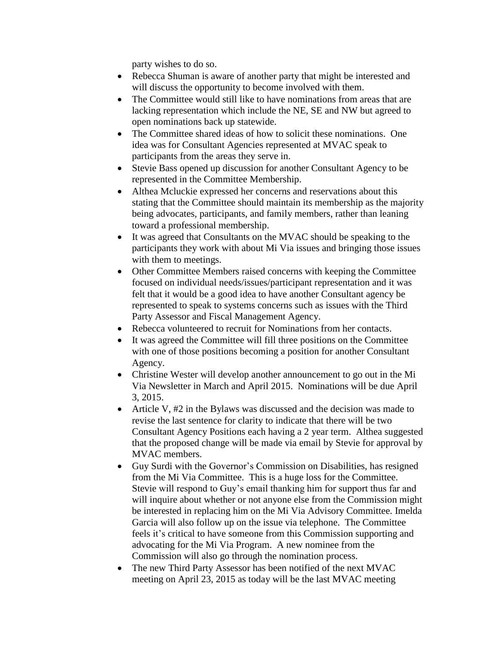party wishes to do so.

- Rebecca Shuman is aware of another party that might be interested and will discuss the opportunity to become involved with them.
- The Committee would still like to have nominations from areas that are lacking representation which include the NE, SE and NW but agreed to open nominations back up statewide.
- The Committee shared ideas of how to solicit these nominations. One idea was for Consultant Agencies represented at MVAC speak to participants from the areas they serve in.
- Stevie Bass opened up discussion for another Consultant Agency to be represented in the Committee Membership.
- Althea Mcluckie expressed her concerns and reservations about this stating that the Committee should maintain its membership as the majority being advocates, participants, and family members, rather than leaning toward a professional membership.
- It was agreed that Consultants on the MVAC should be speaking to the participants they work with about Mi Via issues and bringing those issues with them to meetings.
- Other Committee Members raised concerns with keeping the Committee focused on individual needs/issues/participant representation and it was felt that it would be a good idea to have another Consultant agency be represented to speak to systems concerns such as issues with the Third Party Assessor and Fiscal Management Agency.
- Rebecca volunteered to recruit for Nominations from her contacts.
- It was agreed the Committee will fill three positions on the Committee with one of those positions becoming a position for another Consultant Agency.
- Christine Wester will develop another announcement to go out in the Mi Via Newsletter in March and April 2015. Nominations will be due April 3, 2015.
- Article V, #2 in the Bylaws was discussed and the decision was made to revise the last sentence for clarity to indicate that there will be two Consultant Agency Positions each having a 2 year term. Althea suggested that the proposed change will be made via email by Stevie for approval by MVAC members.
- Guy Surdi with the Governor's Commission on Disabilities, has resigned from the Mi Via Committee. This is a huge loss for the Committee. Stevie will respond to Guy's email thanking him for support thus far and will inquire about whether or not anyone else from the Commission might be interested in replacing him on the Mi Via Advisory Committee. Imelda Garcia will also follow up on the issue via telephone. The Committee feels it's critical to have someone from this Commission supporting and advocating for the Mi Via Program. A new nominee from the Commission will also go through the nomination process.
- The new Third Party Assessor has been notified of the next MVAC meeting on April 23, 2015 as today will be the last MVAC meeting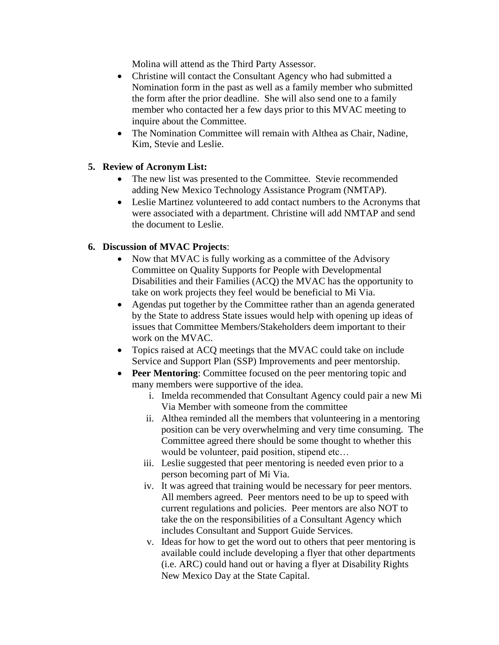Molina will attend as the Third Party Assessor.

- Christine will contact the Consultant Agency who had submitted a Nomination form in the past as well as a family member who submitted the form after the prior deadline. She will also send one to a family member who contacted her a few days prior to this MVAC meeting to inquire about the Committee.
- The Nomination Committee will remain with Althea as Chair, Nadine, Kim, Stevie and Leslie.

#### **5. Review of Acronym List:**

- The new list was presented to the Committee. Stevie recommended adding New Mexico Technology Assistance Program (NMTAP).
- Leslie Martinez volunteered to add contact numbers to the Acronyms that were associated with a department. Christine will add NMTAP and send the document to Leslie.

#### **6. Discussion of MVAC Projects**:

- Now that MVAC is fully working as a committee of the Advisory Committee on Quality Supports for People with Developmental Disabilities and their Families (ACQ) the MVAC has the opportunity to take on work projects they feel would be beneficial to Mi Via.
- Agendas put together by the Committee rather than an agenda generated by the State to address State issues would help with opening up ideas of issues that Committee Members/Stakeholders deem important to their work on the MVAC.
- Topics raised at ACQ meetings that the MVAC could take on include Service and Support Plan (SSP) Improvements and peer mentorship.
- **Peer Mentoring:** Committee focused on the peer mentoring topic and many members were supportive of the idea.
	- i. Imelda recommended that Consultant Agency could pair a new Mi Via Member with someone from the committee
	- ii. Althea reminded all the members that volunteering in a mentoring position can be very overwhelming and very time consuming. The Committee agreed there should be some thought to whether this would be volunteer, paid position, stipend etc…
	- iii. Leslie suggested that peer mentoring is needed even prior to a person becoming part of Mi Via.
	- iv. It was agreed that training would be necessary for peer mentors. All members agreed. Peer mentors need to be up to speed with current regulations and policies. Peer mentors are also NOT to take the on the responsibilities of a Consultant Agency which includes Consultant and Support Guide Services.
	- v. Ideas for how to get the word out to others that peer mentoring is available could include developing a flyer that other departments (i.e. ARC) could hand out or having a flyer at Disability Rights New Mexico Day at the State Capital.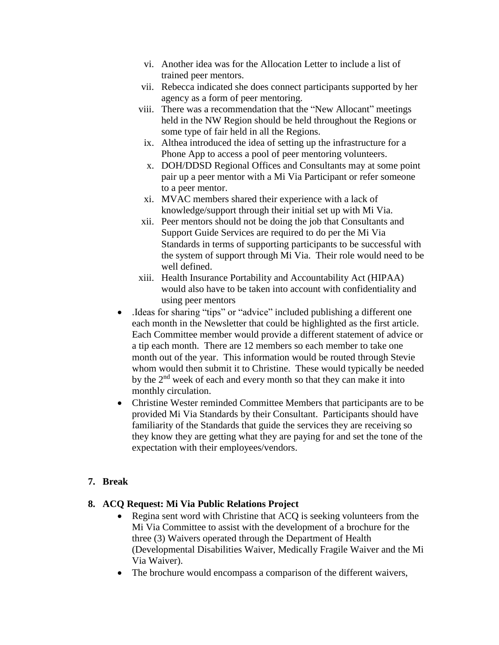- vi. Another idea was for the Allocation Letter to include a list of trained peer mentors.
- vii. Rebecca indicated she does connect participants supported by her agency as a form of peer mentoring.
- viii. There was a recommendation that the "New Allocant" meetings held in the NW Region should be held throughout the Regions or some type of fair held in all the Regions.
- ix. Althea introduced the idea of setting up the infrastructure for a Phone App to access a pool of peer mentoring volunteers.
- x. DOH/DDSD Regional Offices and Consultants may at some point pair up a peer mentor with a Mi Via Participant or refer someone to a peer mentor.
- xi. MVAC members shared their experience with a lack of knowledge/support through their initial set up with Mi Via.
- xii. Peer mentors should not be doing the job that Consultants and Support Guide Services are required to do per the Mi Via Standards in terms of supporting participants to be successful with the system of support through Mi Via. Their role would need to be well defined.
- xiii. Health Insurance Portability and Accountability Act (HIPAA) would also have to be taken into account with confidentiality and using peer mentors
- .Ideas for sharing "tips" or "advice" included publishing a different one each month in the Newsletter that could be highlighted as the first article. Each Committee member would provide a different statement of advice or a tip each month. There are 12 members so each member to take one month out of the year. This information would be routed through Stevie whom would then submit it to Christine. These would typically be needed by the  $2<sup>nd</sup>$  week of each and every month so that they can make it into monthly circulation.
- Christine Wester reminded Committee Members that participants are to be provided Mi Via Standards by their Consultant. Participants should have familiarity of the Standards that guide the services they are receiving so they know they are getting what they are paying for and set the tone of the expectation with their employees/vendors.

#### **7. Break**

#### **8. ACQ Request: Mi Via Public Relations Project**

- Regina sent word with Christine that ACQ is seeking volunteers from the Mi Via Committee to assist with the development of a brochure for the three (3) Waivers operated through the Department of Health (Developmental Disabilities Waiver, Medically Fragile Waiver and the Mi Via Waiver).
- The brochure would encompass a comparison of the different waivers,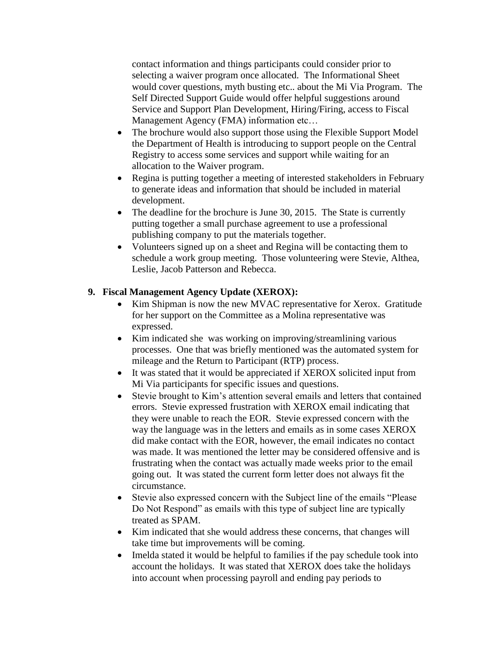contact information and things participants could consider prior to selecting a waiver program once allocated. The Informational Sheet would cover questions, myth busting etc.. about the Mi Via Program. The Self Directed Support Guide would offer helpful suggestions around Service and Support Plan Development, Hiring/Firing, access to Fiscal Management Agency (FMA) information etc…

- The brochure would also support those using the Flexible Support Model the Department of Health is introducing to support people on the Central Registry to access some services and support while waiting for an allocation to the Waiver program.
- Regina is putting together a meeting of interested stakeholders in February to generate ideas and information that should be included in material development.
- The deadline for the brochure is June 30, 2015. The State is currently putting together a small purchase agreement to use a professional publishing company to put the materials together.
- Volunteers signed up on a sheet and Regina will be contacting them to schedule a work group meeting. Those volunteering were Stevie, Althea, Leslie, Jacob Patterson and Rebecca.

#### **9. Fiscal Management Agency Update (XEROX):**

- Kim Shipman is now the new MVAC representative for Xerox. Gratitude for her support on the Committee as a Molina representative was expressed.
- Kim indicated she was working on improving/streamlining various processes. One that was briefly mentioned was the automated system for mileage and the Return to Participant (RTP) process.
- It was stated that it would be appreciated if XEROX solicited input from Mi Via participants for specific issues and questions.
- Stevie brought to Kim's attention several emails and letters that contained errors. Stevie expressed frustration with XEROX email indicating that they were unable to reach the EOR. Stevie expressed concern with the way the language was in the letters and emails as in some cases XEROX did make contact with the EOR, however, the email indicates no contact was made. It was mentioned the letter may be considered offensive and is frustrating when the contact was actually made weeks prior to the email going out. It was stated the current form letter does not always fit the circumstance.
- Stevie also expressed concern with the Subject line of the emails "Please Do Not Respond" as emails with this type of subject line are typically treated as SPAM.
- Kim indicated that she would address these concerns, that changes will take time but improvements will be coming.
- Imelda stated it would be helpful to families if the pay schedule took into account the holidays. It was stated that XEROX does take the holidays into account when processing payroll and ending pay periods to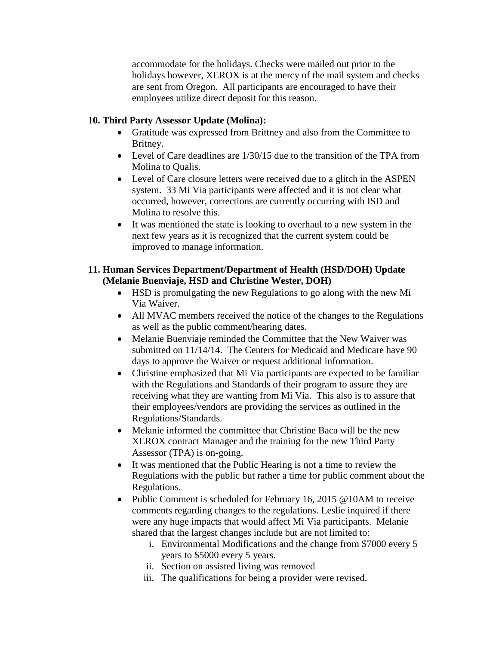accommodate for the holidays. Checks were mailed out prior to the holidays however, XEROX is at the mercy of the mail system and checks are sent from Oregon. All participants are encouraged to have their employees utilize direct deposit for this reason.

#### **10. Third Party Assessor Update (Molina):**

- Gratitude was expressed from Brittney and also from the Committee to Britney.
- Level of Care deadlines are 1/30/15 due to the transition of the TPA from Molina to Qualis.
- Level of Care closure letters were received due to a glitch in the ASPEN system. 33 Mi Via participants were affected and it is not clear what occurred, however, corrections are currently occurring with ISD and Molina to resolve this.
- It was mentioned the state is looking to overhaul to a new system in the next few years as it is recognized that the current system could be improved to manage information.

#### **11. Human Services Department/Department of Health (HSD/DOH) Update (Melanie Buenviaje, HSD and Christine Wester, DOH)**

- HSD is promulgating the new Regulations to go along with the new Mi Via Waiver.
- All MVAC members received the notice of the changes to the Regulations as well as the public comment/hearing dates.
- Melanie Buenviaje reminded the Committee that the New Waiver was submitted on 11/14/14. The Centers for Medicaid and Medicare have 90 days to approve the Waiver or request additional information.
- Christine emphasized that Mi Via participants are expected to be familiar with the Regulations and Standards of their program to assure they are receiving what they are wanting from Mi Via. This also is to assure that their employees/vendors are providing the services as outlined in the Regulations/Standards.
- Melanie informed the committee that Christine Baca will be the new XEROX contract Manager and the training for the new Third Party Assessor (TPA) is on-going.
- It was mentioned that the Public Hearing is not a time to review the Regulations with the public but rather a time for public comment about the Regulations.
- Public Comment is scheduled for February 16, 2015 @10AM to receive comments regarding changes to the regulations. Leslie inquired if there were any huge impacts that would affect Mi Via participants. Melanie shared that the largest changes include but are not limited to:
	- i. Environmental Modifications and the change from \$7000 every 5 years to \$5000 every 5 years.
	- ii. Section on assisted living was removed
	- iii. The qualifications for being a provider were revised.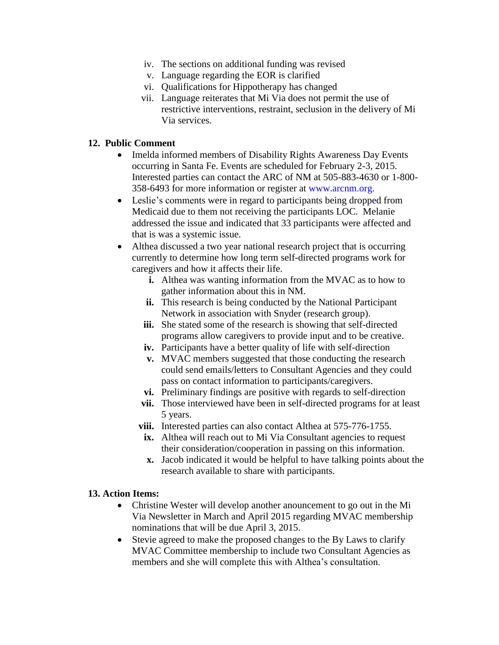- iv. The sections on additional funding was revised
- v. Language regarding the EOR is clarified
- vi. Qualifications for Hippotherapy has changed
- vii. Language reiterates that Mi Via does not permit the use of restrictive interventions, restraint, seclusion in the delivery of Mi Via services.

#### **12. Public Comment**

- Imelda informed members of Disability Rights Awareness Day Events occurring in Santa Fe. Events are scheduled for February 2-3, 2015. Interested parties can contact the ARC of NM at 505-883-4630 or 1-800- 358-6493 for more information or register at www.arcnm.org.
- Leslie's comments were in regard to participants being dropped from Medicaid due to them not receiving the participants LOC. Melanie addressed the issue and indicated that 33 participants were affected and that is was a systemic issue.
- Althea discussed a two year national research project that is occurring currently to determine how long term self-directed programs work for caregivers and how it affects their life.
	- **i.** Althea was wanting information from the MVAC as to how to gather information about this in NM.
	- **ii.** This research is being conducted by the National Participant Network in association with Snyder (research group).
	- **iii.** She stated some of the research is showing that self-directed programs allow caregivers to provide input and to be creative.
	- **iv.** Participants have a better quality of life with self-direction
	- **v.** MVAC members suggested that those conducting the research could send emails/letters to Consultant Agencies and they could pass on contact information to participants/caregivers.
	- **vi.** Preliminary findings are positive with regards to self-direction
	- **vii.** Those interviewed have been in self-directed programs for at least 5 years.
	- **viii.** Interested parties can also contact Althea at 575-776-1755.
	- **ix.** Althea will reach out to Mi Via Consultant agencies to request their consideration/cooperation in passing on this information.
	- **x.** Jacob indicated it would be helpful to have talking points about the research available to share with participants.

#### **13. Action Items:**

- Christine Wester will develop another anouncement to go out in the Mi Via Newsletter in March and April 2015 regarding MVAC membership nominations that will be due April 3, 2015.
- Stevie agreed to make the proposed changes to the By Laws to clarify MVAC Committee membership to include two Consultant Agencies as members and she will complete this with Althea's consultation.